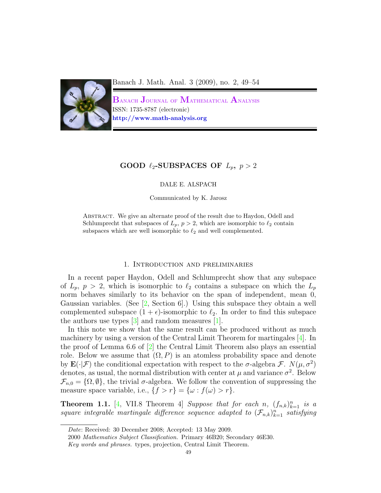

Banach J. Math. Anal. 3 (2009), no. 2, 49–54

 $\mathbf B$ anach  $\mathbf J$ ournal of  $\mathbf M$ athematical  $\mathbf A$ nalysis ISSN: 1735-8787 (electronic) http://www.math-analysis.org

# GOOD  $\ell_2$ -SUBSPACES OF  $L_p$ ,  $p > 2$

DALE E. ALSPACH

Communicated by K. Jarosz

ABSTRACT. We give an alternate proof of the result due to Haydon, Odell and Schlumprecht that subspaces of  $L_p$ ,  $p > 2$ , which are isomorphic to  $\ell_2$  contain subspaces which are well isomorphic to  $\ell_2$  and well complemented.

## 1. Introduction and preliminaries

In a recent paper Haydon, Odell and Schlumprecht show that any subspace of  $L_p$ ,  $p > 2$ , which is isomorphic to  $\ell_2$  contains a subspace on which the  $L_p$ norm behaves similarly to its behavior on the span of independent, mean 0, Gaussian variables. (See [\[2,](#page-5-0) Section 6].) Using this subspace they obtain a well complemented subspace  $(1 + \epsilon)$ -isomorphic to  $\ell_2$ . In order to find this subspace the authors use types  $\lceil 3 \rceil$  and random measures  $\lceil 1 \rceil$ .

In this note we show that the same result can be produced without as much machinery by using a version of the Central Limit Theorem for martingales [\[4\]](#page-5-3). In the proof of Lemma 6.6 of [\[2\]](#page-5-0) the Central Limit Theorem also plays an essential role. Below we assume that  $(\Omega, P)$  is an atomless probability space and denote by  $\mathbf{E}(\cdot|\mathcal{F})$  the conditional expectation with respect to the  $\sigma$ -algebra  $\mathcal{F}$ .  $N(\mu, \sigma^2)$ denotes, as usual, the normal distribution with center at  $\mu$  and variance  $\sigma^2$ . Below  $\mathcal{F}_{n,0} = {\Omega, \emptyset}$ , the trivial  $\sigma$ -algebra. We follow the convention of suppressing the measure space variable, i.e.,  $\{f > r\} = \{\omega : f(\omega) > r\}.$ 

**Theorem 1.1.** [\[4,](#page-5-3) VII.8 Theorem 4] Suppose that for each n,  $(f_{n,k})_{k=1}^n$  is a square integrable martingale difference sequence adapted to  $(\mathcal{F}_{n,k})_{k=1}^n$  satisfying

Date: Received: 30 December 2008; Accepted: 13 May 2009.

<sup>2000</sup> Mathematics Subject Classification. Primary 46B20; Secondary 46E30.

Key words and phrases. types, projection, Central Limit Theorem.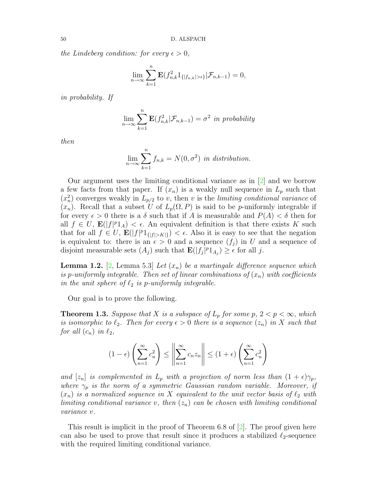the Lindeberg condition: for every  $\epsilon > 0$ ,

$$
\lim_{n\to\infty}\sum_{k=1}^n\mathbf{E}(f_{n,k}^21_{\{|f_{n,k}|>\epsilon\}}|\mathcal{F}_{n,k-1})=0,
$$

in probability. If

$$
\lim_{n \to \infty} \sum_{k=1}^{n} \mathbf{E}(f_{n,k}^2 | \mathcal{F}_{n,k-1}) = \sigma^2 \text{ in probability}
$$

then

$$
\lim_{n \to \infty} \sum_{k=1}^{n} f_{n,k} = N(0, \sigma^2) \text{ in distribution.}
$$

Our argument uses the limiting conditional variance as in [\[2\]](#page-5-0) and we borrow a few facts from that paper. If  $(x_n)$  is a weakly null sequence in  $L_p$  such that  $(x_n^2)$  converges weakly in  $L_{p/2}$  to v, then v is the limiting conditional variance of  $(x_n)$ . Recall that a subset U of  $L_p(\Omega, P)$  is said to be p-uniformly integrable if for every  $\epsilon > 0$  there is a  $\delta$  such that if A is measurable and  $P(A) < \delta$  then for all  $f \in U$ ,  $\mathbf{E}(|f|^p 1_A) < \epsilon$ . An equivalent definition is that there exists K such that for all  $f \in U$ ,  $\mathbf{E}(|f|^p 1_{\{|f| > K\}}) < \epsilon$ . Also it is easy to see that the negation is equivalent to: there is an  $\epsilon > 0$  and a sequence  $(f_i)$  in U and a sequence of disjoint measurable sets  $(A_j)$  such that  $\mathbf{E}(|f_j|^p 1_{A_j}) \geq \epsilon$  for all j.

<span id="page-1-0"></span>**Lemma 1.2.** [\[2,](#page-5-0) Lemma 5.3] Let  $(x_n)$  be a martingale difference sequence which is p-uniformly integrable. Then set of linear combinations of  $(x_n)$  with coefficients in the unit sphere of  $\ell_2$  is p-uniformly integrable.

Our goal is to prove the following.

<span id="page-1-1"></span>**Theorem 1.3.** Suppose that X is a subspace of  $L_p$  for some  $p, 2 < p < \infty$ , which is isomorphic to  $\ell_2$ . Then for every  $\epsilon > 0$  there is a sequence  $(z_n)$  in X such that for all  $(c_n)$  in  $\ell_2$ ,

$$
(1 - \epsilon) \left(\sum_{n=1}^{\infty} c_n^2\right) \le \left\|\sum_{n=1}^{\infty} c_n z_n\right\| \le (1 + \epsilon) \left(\sum_{n=1}^{\infty} c_n^2\right)
$$

and  $[z_n]$  is complemented in  $L_p$  with a projection of norm less than  $(1 + \epsilon)\gamma_p$ , where  $\gamma_p$  is the norm of a symmetric Gaussian random variable. Moreover, if  $(x_n)$  is a normalized sequence in X equivalent to the unit vector basis of  $\ell_2$  with limiting conditional variance v, then  $(z_n)$  can be chosen with limiting conditional variance v.

This result is implicit in the proof of Theorem 6.8 of [\[2\]](#page-5-0). The proof given here can also be used to prove that result since it produces a stabilized  $\ell_2$ -sequence with the required limiting conditional variance.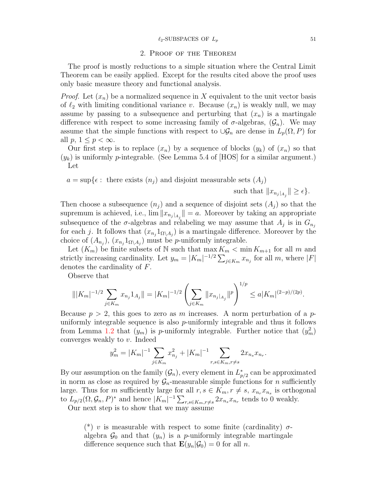### 2. Proof of the Theorem

The proof is mostly reductions to a simple situation where the Central Limit Theorem can be easily applied. Except for the results cited above the proof uses only basic measure theory and functional analysis.

*Proof.* Let  $(x_n)$  be a normalized sequence in X equivalent to the unit vector basis of  $\ell_2$  with limiting conditional variance v. Because  $(x_n)$  is weakly null, we may assume by passing to a subsequence and perturbing that  $(x_n)$  is a martingale difference with respect to some increasing family of  $\sigma$ -algebras,  $(\mathcal{G}_n)$ . We may assume that the simple functions with respect to  $\cup \mathcal{G}_n$  are dense in  $L_p(\Omega, P)$  for all  $p, 1 \leq p < \infty$ .

Our first step is to replace  $(x_n)$  by a sequence of blocks  $(y_k)$  of  $(x_n)$  so that  $(y_k)$  is uniformly p-integrable. (See Lemma 5.4 of [HOS] for a similar argument.) Let

 $a = \sup\{\epsilon : \text{ there exists } (n_j) \text{ and disjoint measurable sets } (A_j)\}$ 

such that  $||x_{n_j|A_j}|| \geq \epsilon$ .

 $\frac{1}{2}$ 

Then choose a subsequence  $(n_j)$  and a sequence of disjoint sets  $(A_j)$  so that the supremum is achieved, i.e.,  $\lim \|x_{n_j\}_{A_j}\|=a$ . Moreover by taking an appropriate subsequence of the  $\sigma$ -algebras and relabeling we may assume that  $A_j$  is in  $G_{n_j}$ for each j. It follows that  $(x_{n_j} 1_{\Omega \setminus A_j})$  is a martingale difference. Moreover by the choice of  $(A_{n_j})$ ,  $(x_{n_j} 1_{\Omega \setminus A_j})$  must be *p*-uniformly integrable.

Let  $(K_m)$  be finite subsets of N such that  $\max K_m < \min K_{m+1}$  for all m and strictly increasing cardinality. Let  $y_m = |K_m|^{-1/2} \sum_{j \in K_m} x_{n_j}$  for all m, where  $|F|$ denotes the cardinality of F.

Observe that

$$
\| |K_m|^{-1/2} \sum_{j \in K_m} x_{n_j} 1_{A_j} \| = |K_m|^{-1/2} \left( \sum_{j \in K_m} \| x_{n_j} \|_{A_j} \|^p \right)^{1/p} \leq a |K_m|^{(2-p)/(2p)}.
$$

Because  $p > 2$ , this goes to zero as m increases. A norm perturbation of a puniformly integrable sequence is also  $p$ -uniformly integrable and thus it follows from Lemma [1.2](#page-1-0) that  $(y_m)$  is p-uniformly integrable. Further notice that  $(y_m^2)$ converges weakly to v. Indeed

$$
y_m^2 = |K_m|^{-1} \sum_{j \in K_m} x_{n_j}^2 + |K_m|^{-1} \sum_{r,s \in K_m, r \neq s} 2x_{n_s} x_{n_r}.
$$

By our assumption on the family  $(\mathcal{G}_n)$ , every element in  $L^*_{p/2}$  can be approximated in norm as close as required by  $\mathcal{G}_n$ -measurable simple functions for *n* sufficiently large. Thus for m sufficiently large for all  $r, s \in K_m, r \neq s, x_{n_r} x_{n_s}$  is orthogonal to  $L_{p/2}(\Omega, \mathcal{G}_n, P)^*$  and hence  $|K_m|^{-1} \sum_{r,s \in K_m, r \neq s} 2x_{n_s}x_{n_r}$  tends to 0 weakly.

Our next step is to show that we may assume

(\*) v is measurable with respect to some finite (cardinality)  $\sigma$ algebra  $\mathcal{G}_0$  and that  $(y_n)$  is a *p*-uniformly integrable martingale difference sequence such that  $\mathbf{E}(y_n|\mathcal{G}_0) = 0$  for all n.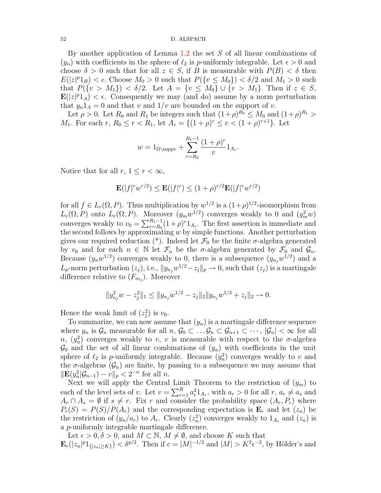#### 52 D. ALSPACH

By another application of Lemma [1.2](#page-1-0) the set S of all linear combinations of  $(y_n)$  with coefficients in the sphere of  $\ell_2$  is p-uniformly integrable. Let  $\epsilon > 0$  and choose  $\delta > 0$  such that for all  $z \in S$ , if B is measurable with  $P(B) < \delta$  then  $E(|z|^p1_B) < \epsilon$ . Choose  $M_0 > 0$  such that  $P({v \leq M_0}) < \delta/2$  and  $M_1 > 0$  such that  $P({v > M_1}) < \delta/2$ . Let  $A = {v \le M_0} \cup {v > M_1}$ . Then if  $z \in S$ ,  $\mathbf{E}(|z|^p1_A) < \epsilon$ . Consequently we may (and do) assume by a norm perturbation that  $y_n1_A = 0$  and that v and  $1/v$  are bounded on the support of v.

Let  $\rho > 0$ . Let  $R_0$  and  $R_1$  be integers such that  $(1+\rho)^{R_0} \leq M_0$  and  $(1+\rho)^{R_1} >$  $M_1$ . For each  $r, R_0 \le r < R_1$ , let  $A_r = \{(1+\rho)^r \le v < (1+\rho)^{r+1}\}$ . Let

$$
w = 1_{\Omega \setminus \text{supp}v} + \sum_{r=R_0}^{R_1 - 1} \frac{(1+\rho)^r}{v} 1_{A_r}.
$$

Notice that for all  $r, 1 \leq r < \infty$ ,

$$
\mathbf{E}(|f|^r w^{r/2}) \le \mathbf{E}(|f|^r) \le (1+\rho)^{r/2} \mathbf{E}(|f|^r w^{r/2})
$$

for all  $f \in L_r(\Omega, P)$ . Thus multiplication by  $w^{1/2}$  is a  $(1+\rho)^{1/2}$ -isomorphism from  $L_r(\Omega, P)$  onto  $L_r(\Omega, P)$ . Moreover  $(y_m w^{1/2})$  converges weakly to 0 and  $(y_m^2 w)$ converges weakly to  $v_0 = \sum_{r=R_0}^{R_1-1} (1+\rho)^r 1_{A_r}$ . The first assertion is immediate and the second follows by approximating  $w$  by simple functions. Another perturbation gives our required reduction (\*). Indeed let  $\mathcal{F}_0$  be the finite  $\sigma$ -algebra generated by  $v_0$  and for each  $n \in \mathbb{N}$  let  $\mathcal{F}_n$  be the  $\sigma$ -algebra generated by  $\mathcal{F}_0$  and  $\mathcal{G}_n$ . Because  $(y_nw^{1/2})$  converges weakly to 0, there is a subsequence  $(y_{n_j}w^{1/2})$  and a  $L_p$ -norm perturbation  $(z_j)$ , i.e.,  $||y_{n_j}w^{1/2} - z_j||_p \to 0$ , such that  $(z_j)$  is a martingale difference relative to  $(F_{m_j})$ . Moreover

$$
||y_{n_j}^2 w - z_j^2||_1 \le ||y_{n_j}w^{1/2} - z_j||_2||y_{n_j}w^{1/2} + z_j||_2 \to 0.
$$

Hence the weak limit of  $(z_j^2)$  is  $v_0$ .

To summarize, we can now assume that  $(y_n)$  is a martingale difference sequence where  $y_n$  is  $\mathcal{G}_n$  measurable for all  $n, \mathcal{G}_0 \subset \ldots \mathcal{G}_n \subset \mathcal{G}_{n+1} \subset \cdots, |\mathcal{G}_n| < \infty$  for all n,  $(y_n^2)$  converges weakly to v, v is measurable with respect to the  $\sigma$ -algebra  $\mathcal{G}_0$  and the set of all linear combinations of  $(y_n)$  with coefficients in the unit sphere of  $\ell_2$  is p-uniformly integrable. Because  $(y_n^2)$  converges weakly to v and the  $\sigma$ -algebras  $(\mathcal{G}_n)$  are finite, by passing to a subsequence we may assume that  $\|\mathbf{E}(y_n^2 | \mathcal{G}_{n-1}) - v\|_p < 2^{-n}$  for all *n*.

Next we will apply the Central Limit Theorem to the restriction of  $(y_m)$  to each of the level sets of v. Let  $v = \sum_{r=1}^{R} a_r^2 1_{A_r}$ , with  $a_r > 0$  for all  $r, a_r \neq a_s$  and  $A_r \cap A_s = \emptyset$  if  $s \neq r$ . Fix r and consider the probability space  $(A_r, P_r)$  where  $P_r(S) = P(S)/P(A_r)$  and the corresponding expectation is  $\mathbf{E}_r$  and let  $(z_n)$  be the restriction of  $(y_n/a_r)$  to  $A_r$ . Clearly  $(z_n^2)$  converges weakly to  $1_{A_r}$  and  $(z_n)$  is a p-uniformly integrable martingale difference.

Let  $\epsilon > 0, \delta > 0$ , and  $M \subset \mathbb{N}, M \neq \emptyset$ , and choose K such that  $\mathbf{E}_r(|z_n|^p 1_{\{|z_n|\geq K\}}) < \delta^{p/2}$ . Then if  $c = |M|^{-1/2}$  and  $|M| > K^2 \epsilon^{-2}$ , by Hölder's and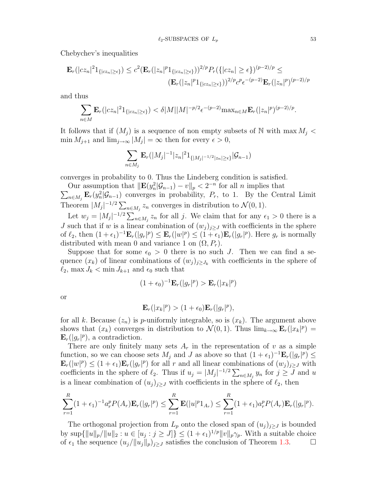Chebychev's inequalities

$$
\mathbf{E}_r(|cz_n|^2 1_{\{|cz_n|\geq \epsilon\}}) \leq c^2 (\mathbf{E}_r(|z_n|^p 1_{\{|cz_n|\geq \epsilon\}}))^{2/p} P_r(\{|cz_n|\geq \epsilon\})^{(p-2)/p} \leq
$$
  

$$
(\mathbf{E}_r(|z_n|^p 1_{\{|cz_n|\geq \epsilon\}}))^{2/p} c^p \epsilon^{-(p-2)} \mathbf{E}_r(|z_n|^p)^{(p-2)/p}
$$

and thus

$$
\sum_{n\in M} \mathbf{E}_r(|cz_n|^2 1_{\{|cz_n|\geq \epsilon\}}) < \delta|M||M|^{-p/2} \epsilon^{-(p-2)} \max_{n\in M} \mathbf{E}_r(|z_n|^p)^{(p-2)/p}.
$$

It follows that if  $(M_i)$  is a sequence of non empty subsets of N with max  $M_i$  <  $\min M_{j+1}$  and  $\lim_{j\to\infty} |M_j| = \infty$  then for every  $\epsilon > 0$ ,

$$
\sum_{n \in M_j} \mathbf{E}_r(|M_j|^{-1}|z_n|^2 1_{\{|M_j|^{-1/2}|z_n|\geq \epsilon\}}|\mathcal{G}_{n-1})
$$

converges in probability to 0. Thus the Lindeberg condition is satisfied.

Our assumption that  $\|\mathbf{E}(y_n^2|\mathcal{G}_{n-1}) - v\|_p < 2^{-n}$  for all n implies that

 $\sum_{n\in M_j} \mathbf{E}_r(y_n^2 | \mathcal{G}_{n-1})$  converges in probability,  $P_r$ , to 1. By the Central Limit Theorem  $|M_j|^{-1/2} \sum_{n \in M_j} z_n$  converges in distribution to  $\mathcal{N}(0, 1)$ .

Let  $w_j = |M_j|^{-1/2} \sum_{n \in M_j} z_n$  for all j. We claim that for any  $\epsilon_1 > 0$  there is a J such that if w is a linear combination of  $(w_j)_{j\geq J}$  with coefficients in the sphere of  $\ell_2$ , then  $(1+\epsilon_1)^{-1}\mathbf{E}_r(|g_r|^p) \leq \mathbf{E}_r(|w|^p) \leq (1+\epsilon_1)\mathbf{E}_r(|g_r|^p)$ . Here  $g_r$  is normally distributed with mean 0 and variance 1 on  $(\Omega, P_r)$ .

Suppose that for some  $\epsilon_0 > 0$  there is no such J. Then we can find a sequence  $(x_k)$  of linear combinations of  $(w_j)_{j\geq J_k}$  with coefficients in the sphere of  $\ell_2$ , max  $J_k < \min J_{k+1}$  and  $\epsilon_0$  such that

$$
(1+\epsilon_0)^{-1}\mathbf{E}_r(|g_r|^p) > \mathbf{E}_r(|x_k|^p)
$$

or

$$
\mathbf{E}_r(|x_k|^p) > (1+\epsilon_0)\mathbf{E}_r(|g_r|^p),
$$

for all k. Because  $(z_n)$  is p-uniformly integrable, so is  $(x_k)$ . The argument above shows that  $(x_k)$  converges in distribution to  $\mathcal{N}(0,1)$ . Thus  $\lim_{k\to\infty} \mathbf{E}_r(|x_k|^p) =$  $\mathbf{E}_r(|g_r|^p)$ , a contradiction.

There are only finitely many sets  $A_r$  in the representation of v as a simple function, so we can choose sets  $M_j$  and J as above so that  $(1 + \epsilon_1)^{-1} \mathbf{E}_r(|g_r|^p) \le$  $\mathbf{E}_r(|w|^p) \leq (1+\epsilon_1)\mathbf{E}_r(|g_r|^p)$  for all r and all linear combinations of  $(w_j)_{j\geq J}$  with coefficients in the sphere of  $\ell_2$ . Thus if  $u_j = |M_j|^{-1/2} \sum_{n \in M_j} y_n$  for  $j \geq J$  and u is a linear combination of  $(u_j)_{j\geq J}$  with coefficients in the sphere of  $\ell_2$ , then

$$
\sum_{r=1}^R (1+\epsilon_1)^{-1} a_r^p P(A_r) \mathbf{E}_r(|g_r|^p) \leq \sum_{r=1}^R \mathbf{E}(|u|^p 1_{A_r}) \leq \sum_{r=1}^R (1+\epsilon_1) a_r^p P(A_r) \mathbf{E}_r(|g_r|^p).
$$

The orthogonal projection from  $L_p$  onto the closed span of  $(u_j)_{j\geq J}$  is bounded by  $\sup\{\|u\|_p/\|u\|_2 : u \in [u_j : j \geq J]\} \leq (1+\epsilon_1)^{1/p} \|v\|_p \gamma_p$ . With a suitable choice of  $\epsilon_1$  the sequence  $(u_j/||u_j||_p)_{j\geq J}$  satisfies the conclusion of Theorem [1.3.](#page-1-1)